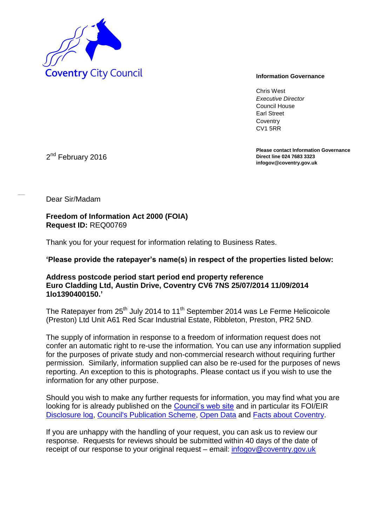

Chris West *Executive Director* Council House Earl Street **Coventry** CV1 5RR

**Please contact Information Governance Direct line 024 7683 3323 infogov@coventry.gov.uk** 

2<sup>nd</sup> February 2016

Dear Sir/Madam

**Freedom of Information Act 2000 (FOIA) Request ID:** REQ00769

Thank you for your request for information relating to Business Rates.

**'Please provide the ratepayer's name(s) in respect of the properties listed below:** 

## **Address postcode period start period end property reference Euro Cladding Ltd, Austin Drive, Coventry CV6 7NS 25/07/2014 11/09/2014 1lo1390400150.'**

The Ratepayer from 25<sup>th</sup> July 2014 to 11<sup>th</sup> September 2014 was Le Ferme Helicoicole (Preston) Ltd Unit A61 Red Scar Industrial Estate, Ribbleton, Preston, PR2 5ND.

The supply of information in response to a freedom of information request does not confer an automatic right to re-use the information. You can use any information supplied for the purposes of private study and non-commercial research without requiring further permission. Similarly, information supplied can also be re-used for the purposes of news reporting. An exception to this is photographs. Please contact us if you wish to use the information for any other purpose.

Should you wish to make any further requests for information, you may find what you are looking for is already published on the [Council's web site](http://www.coventry.gov.uk/) and in particular its FOI/EIR [Disclosure log,](http://www.coventry.gov.uk/foieirrequests) [Council's Publication Scheme,](http://www.coventry.gov.uk/publicationscheme) [Open Data](http://www.coventry.gov.uk/opendata) and [Facts about Coventry.](http://www.coventry.gov.uk/factsaboutcoventry)

If you are unhappy with the handling of your request, you can ask us to review our response. Requests for reviews should be submitted within 40 days of the date of receipt of our response to your original request – email: [infogov@coventry.gov.uk](mailto:infogov@coventry.gov.uk)